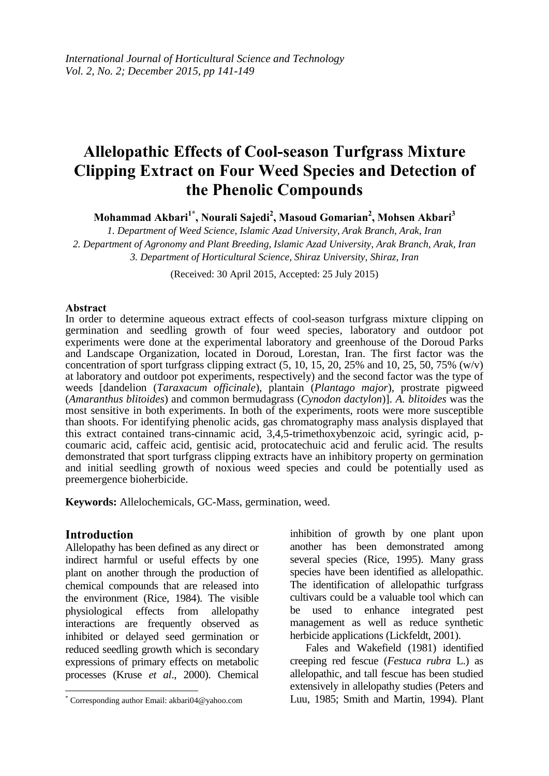# **Allelopathic Effects of Cool-season Turfgrass Mixture Clipping Extract on Four Weed Species and Detection of the Phenolic Compounds**

**Mohammad Akbari<sup>1</sup>\* , Nourali Sajedi<sup>2</sup> , Masoud Gomarian<sup>2</sup> , Mohsen Akbari<sup>3</sup>**

*1. Department of Weed Science, Islamic Azad University, Arak Branch, Arak, Iran 2. Department of Agronomy and Plant Breeding, Islamic Azad University, Arak Branch, Arak, Iran 3. Department of Horticultural Science, Shiraz University, Shiraz, Iran*

(Received: 30 April 2015, Accepted: 25 July 2015)

#### **Abstract**

In order to determine aqueous extract effects of cool-season turfgrass mixture clipping on germination and seedling growth of four weed species, laboratory and outdoor pot experiments were done at the experimental laboratory and greenhouse of the Doroud Parks and Landscape Organization, located in Doroud, Lorestan, Iran. The first factor was the concentration of sport turfgrass clipping extract  $(5, 10, 15, 20, 25\%$  and  $10, 25, 50, 75\%$  (w/v) at laboratory and outdoor pot experiments, respectively) and the second factor was the type of weeds [dandelion (*Taraxacum officinale*), plantain (*Plantago major*), prostrate pigweed (*Amaranthus blitoides*) and common bermudagrass (*Cynodon dactylon*)]. *A. blitoides* was the most sensitive in both experiments. In both of the experiments, roots were more susceptible than shoots. For identifying phenolic acids, gas chromatography mass analysis displayed that this extract contained trans-cinnamic acid, 3,4,5-trimethoxybenzoic acid, syringic acid, pcoumaric acid, caffeic acid, gentisic acid, protocatechuic acid and ferulic acid. The results demonstrated that sport turfgrass clipping extracts have an inhibitory property on germination and initial seedling growth of noxious weed species and could be potentially used as preemergence bioherbicide.

**Keywords:** Allelochemicals, GC-Mass, germination, weed.

### **Introduction**

 $\overline{\phantom{a}}$ 

Allelopathy has been defined as any direct or indirect harmful or useful effects by one plant on another through the production of chemical compounds that are released into the environment (Rice, 1984). The visible physiological effects from allelopathy interactions are frequently observed as inhibited or delayed seed germination or reduced seedling growth which is secondary expressions of primary effects on metabolic processes (Kruse *et al*., 2000). Chemical

inhibition of growth by one plant upon another has been demonstrated among several species (Rice, 1995). Many grass species have been identified as allelopathic. The identification of allelopathic turfgrass cultivars could be a valuable tool which can be used to enhance integrated pest management as well as reduce synthetic herbicide applications (Lickfeldt, 2001).

Fales and Wakefield (1981) identified creeping red fescue (*Festuca rubra* L.) as allelopathic, and tall fescue has been studied extensively in allelopathy studies (Peters and Luu, 1985; Smith and Martin, 1994). Plant

<sup>\*</sup> Corresponding author Email: akbari04@yahoo.com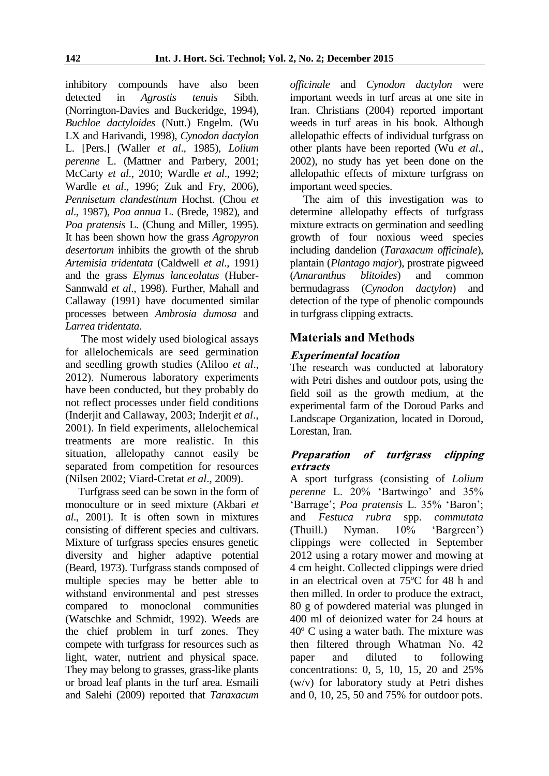inhibitory compounds have also been<br>detected in *Agrostis tenuis* Sibth. in *Agrostis tenuis* Sibth. (Norrington-Davies and Buckeridge, 1994), *Buchloe dactyloides* (Nutt.) Engelm. (Wu LX and Harivandi, 1998), *Cynodon dactylon*  L. [Pers.] (Waller *et al*., 1985), *Lolium perenne* L. (Mattner and Parbery, 2001; McCarty *et al*., 2010; Wardle *et al*., 1992; Wardle *et al*., 1996; Zuk and Fry, 2006), *Pennisetum clandestinum* Hochst. (Chou *et al*., 1987), *Poa annua* L. (Brede, 1982), and *Poa pratensis* L. (Chung and Miller, 1995). It has been shown how the grass *Agropyron desertorum* inhibits the growth of the shrub *Artemisia tridentata* (Caldwell *et al*., 1991) and the grass *Elymus lanceolatus* (Huber-Sannwald *et al*., 1998). Further, Mahall and Callaway (1991) have documented similar processes between *Ambrosia dumosa* and *Larrea tridentata*.

The most widely used biological assays for allelochemicals are seed germination and seedling growth studies (Aliloo *et al*., 2012). Numerous laboratory experiments have been conducted, but they probably do not reflect processes under field conditions (Inderjit and Callaway, 2003; Inderjit *et al*., 2001). In field experiments, allelochemical treatments are more realistic. In this situation, allelopathy cannot easily be separated from competition for resources (Nilsen 2002; Viard-Cretat *et al*., 2009).

Turfgrass seed can be sown in the form of monoculture or in seed mixture (Akbari *et al*., 2001). It is often sown in mixtures consisting of different species and cultivars. Mixture of turfgrass species ensures genetic diversity and higher adaptive potential (Beard, 1973). Turfgrass stands composed of multiple species may be better able to withstand environmental and pest stresses<br>compared to monoclonal communities compared to monoclonal (Watschke and Schmidt, 1992). Weeds are the chief problem in turf zones. They compete with turfgrass for resources such as light, water, nutrient and physical space. They may belong to grasses, grass-like plants or broad leaf plants in the turf area. Esmaili and Salehi (2009) reported that *Taraxacum* 

*officinale* and *Cynodon dactylon* were important weeds in turf areas at one site in Iran. Christians (2004) reported important weeds in turf areas in his book. Although allelopathic effects of individual turfgrass on other plants have been reported (Wu *et al*., 2002), no study has yet been done on the allelopathic effects of mixture turfgrass on important weed species.

The aim of this investigation was to determine allelopathy effects of turfgrass mixture extracts on germination and seedling growth of four noxious weed species including dandelion (*Taraxacum officinale*), plantain (*Plantago major*), prostrate pigweed (*Amaranthus blitoides*) and common bermudagrass (*Cynodon dactylon*) and detection of the type of phenolic compounds in turfgrass clipping extracts.

## **Materials and Methods**

### **Experimental location**

The research was conducted at laboratory with Petri dishes and outdoor pots, using the field soil as the growth medium, at the experimental farm of the Doroud Parks and Landscape Organization, located in Doroud, Lorestan, Iran.

### **Preparation of turfgrass clipping extracts**

A sport turfgrass (consisting of *Lolium perenne* L. 20% 'Bartwingo' and 35% 'Barrage'; *Poa pratensis* L. 35% 'Baron'; and *Festuca rubra* spp. *commutata*  (Thuill.) Nyman. 10% 'Bargreen') clippings were collected in September 2012 using a rotary mower and mowing at 4 cm height. Collected clippings were dried in an electrical oven at 75ºC for 48 h and then milled. In order to produce the extract, 80 g of powdered material was plunged in 400 ml of deionized water for 24 hours at 40º C using a water bath. The mixture was then filtered through Whatman No. 42 paper and diluted to following concentrations: 0, 5, 10, 15, 20 and 25% (w/v) for laboratory study at Petri dishes and 0, 10, 25, 50 and 75% for outdoor pots.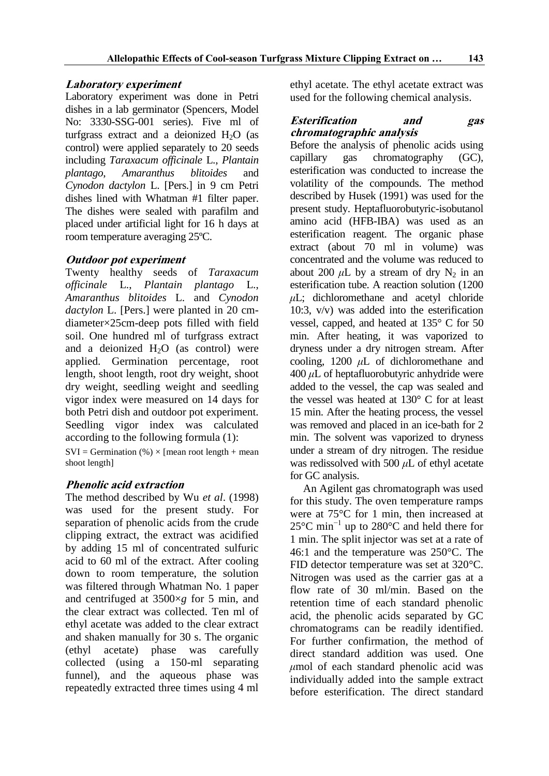# **Laboratory experiment**

Laboratory experiment was done in Petri dishes in a lab germinator (Spencers, Model No: 3330-SSG-001 series). Five ml of turfgrass extract and a deionized  $H_2O$  (as control) were applied separately to 20 seeds including *Taraxacum officinale* L., *Plantain plantago*, *Amaranthus blitoides* and *Cynodon dactylon* L. [Pers.] in 9 cm Petri dishes lined with Whatman #1 filter paper. The dishes were sealed with parafilm and placed under artificial light for 16 h days at room temperature averaging 25ºC.

## **Outdoor pot experiment**

Twenty healthy seeds of *Taraxacum officinale* L., *Plantain plantago* L., *Amaranthus blitoides* L. and *Cynodon dactylon* L. [Pers.] were planted in 20 cmdiameter×25cm-deep pots filled with field soil. One hundred ml of turfgrass extract and a deionized  $H_2O$  (as control) were applied. Germination percentage, root length, shoot length, root dry weight, shoot dry weight, seedling weight and seedling vigor index were measured on 14 days for both Petri dish and outdoor pot experiment. Seedling vigor index was calculated according to the following formula (1):

 $SVI = German($ %) × [mean root length + mean shoot length]

# **Phenolic acid extraction**

The method described by Wu *et al*. (1998) was used for the present study. For separation of phenolic acids from the crude clipping extract, the extract was acidified by adding 15 ml of concentrated sulfuric acid to 60 ml of the extract. After cooling down to room temperature, the solution was filtered through Whatman No. 1 paper and centrifuged at 3500×*g* for 5 min, and the clear extract was collected. Ten ml of ethyl acetate was added to the clear extract and shaken manually for 30 s. The organic (ethyl acetate) phase was carefully collected (using a 150-ml separating funnel), and the aqueous phase was repeatedly extracted three times using 4 ml

ethyl acetate. The ethyl acetate extract was used for the following chemical analysis.

### **Esterification and gas chromatographic analysis**

Before the analysis of phenolic acids using capillary gas chromatography (GC), esterification was conducted to increase the volatility of the compounds. The method described by Husek (1991) was used for the present study. Heptafluorobutyric-isobutanol amino acid (HFB-IBA) was used as an esterification reagent. The organic phase extract (about 70 ml in volume) was concentrated and the volume was reduced to about 200  $\mu$ L by a stream of dry N<sub>2</sub> in an esterification tube. A reaction solution (1200 *μ*L; dichloromethane and acetyl chloride 10:3, v/v) was added into the esterification vessel, capped, and heated at 135° C for 50 min. After heating, it was vaporized to dryness under a dry nitrogen stream. After cooling, 1200 *μ*L of dichloromethane and 400 *μ*L of heptafluorobutyric anhydride were added to the vessel, the cap was sealed and the vessel was heated at 130° C for at least 15 min. After the heating process, the vessel was removed and placed in an ice-bath for 2 min. The solvent was vaporized to dryness under a stream of dry nitrogen. The residue was redissolved with 500 *μ*L of ethyl acetate for GC analysis.

An Agilent gas chromatograph was used for this study. The oven temperature ramps were at 75°C for 1 min, then increased at 25°C min−1 up to 280°C and held there for 1 min. The split injector was set at a rate of 46:1 and the temperature was 250°C. The FID detector temperature was set at 320°C. Nitrogen was used as the carrier gas at a flow rate of 30 ml/min. Based on the retention time of each standard phenolic acid, the phenolic acids separated by GC chromatograms can be readily identified. For further confirmation, the method of direct standard addition was used. One *μ*mol of each standard phenolic acid was individually added into the sample extract before esterification. The direct standard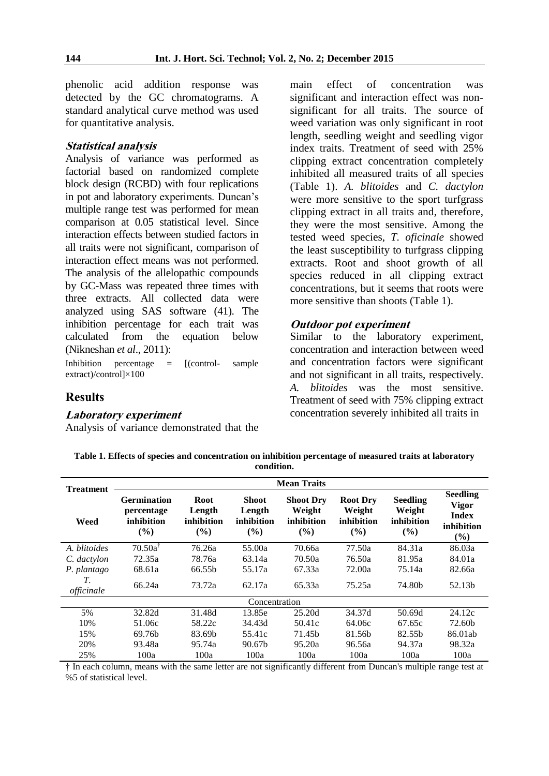phenolic acid addition response was detected by the GC chromatograms. A standard analytical curve method was used for quantitative analysis.

#### **Statistical analysis**

Analysis of variance was performed as factorial based on randomized complete block design (RCBD) with four replications in pot and laboratory experiments. Duncan's multiple range test was performed for mean comparison at 0.05 statistical level. Since interaction effects between studied factors in all traits were not significant, comparison of interaction effect means was not performed. The analysis of the allelopathic compounds by GC-Mass was repeated three times with three extracts. All collected data were analyzed using SAS software (41). The inhibition percentage for each trait was calculated from the equation below (Nikneshan *et al*., 2011):

Inhibition percentage = [(control- sample extract)/control]×100

**Results**

#### **Laboratory experiment**

Analysis of variance demonstrated that the

main effect of concentration was significant and interaction effect was nonsignificant for all traits. The source of weed variation was only significant in root length, seedling weight and seedling vigor index traits. Treatment of seed with 25% clipping extract concentration completely inhibited all measured traits of all species (Table 1). *A. blitoides* and *C. dactylon* were more sensitive to the sport turfgrass clipping extract in all traits and, therefore, they were the most sensitive. Among the tested weed species, *T. oficinale* showed the least susceptibility to turfgrass clipping extracts. Root and shoot growth of all species reduced in all clipping extract concentrations, but it seems that roots were more sensitive than shoots (Table 1).

#### **Outdoor pot experiment**

Similar to the laboratory experiment, concentration and interaction between weed and concentration factors were significant and not significant in all traits, respectively. *A. blitoides* was the most sensitive. Treatment of seed with 75% clipping extract concentration severely inhibited all traits in

**Table 1. Effects of species and concentration on inhibition percentage of measured traits at laboratory condition.**

| <b>Treatment</b> | <b>Mean Traits</b>                                    |                                               |                                                |                                                 |                                                |                                                |                                                                      |  |
|------------------|-------------------------------------------------------|-----------------------------------------------|------------------------------------------------|-------------------------------------------------|------------------------------------------------|------------------------------------------------|----------------------------------------------------------------------|--|
| Weed             | <b>Germination</b><br>percentage<br>inhibition<br>(%) | <b>Root</b><br>Length<br>inhibition<br>$($ %) | <b>Shoot</b><br>Length<br>inhibition<br>$($ %) | <b>Shoot Dry</b><br>Weight<br>inhibition<br>(%) | <b>Root Dry</b><br>Weight<br>inhibition<br>(%) | <b>Seedling</b><br>Weight<br>inhibition<br>(%) | <b>Seedling</b><br><b>Vigor</b><br><b>Index</b><br>inhibition<br>(%) |  |
| A. blitoides     | $70.50a$ <sup>T</sup>                                 | 76.26a                                        | 55.00a                                         | 70.66a                                          | 77.50a                                         | 84.31a                                         | 86.03a                                                               |  |
| C. dactylon      | 72.35a                                                | 78.76a                                        | 63.14a                                         | 70.50a                                          | 76.50a                                         | 81.95a                                         | 84.01a                                                               |  |
| P. plantago      | 68.61a                                                | 66.55 <sub>h</sub>                            | 55.17a                                         | 67.33a                                          | 72.00a                                         | 75.14a                                         | 82.66a                                                               |  |
| T.<br>officinale | 66.24a                                                | 73.72a                                        | 62.17a                                         | 65.33a                                          | 75.25a                                         | 74.80b                                         | 52.13b                                                               |  |
| Concentration    |                                                       |                                               |                                                |                                                 |                                                |                                                |                                                                      |  |
| 5%               | 32.82d                                                | 31.48d                                        | 13.85e                                         | 25.20d                                          | 34.37d                                         | 50.69d                                         | 24.12c                                                               |  |
| 10%              | 51.06c                                                | 58.22c                                        | 34.43d                                         | 50.41c                                          | 64.06c                                         | 67.65c                                         | 72.60b                                                               |  |
| 15%              | 69.76 <sub>b</sub>                                    | 83.69b                                        | 55.41c                                         | 71.45b                                          | 81.56b                                         | 82.55b                                         | 86.01ab                                                              |  |
| 20%              | 93.48a                                                | 95.74a                                        | 90.67 <sub>b</sub>                             | 95.20a                                          | 96.56a                                         | 94.37a                                         | 98.32a                                                               |  |
| 25%              | 100a                                                  | 100a                                          | 100a                                           | 100a                                            | 100a                                           | 100a                                           | 100a                                                                 |  |

† In each column, means with the same letter are not significantly different from Duncan's multiple range test at %5 of statistical level.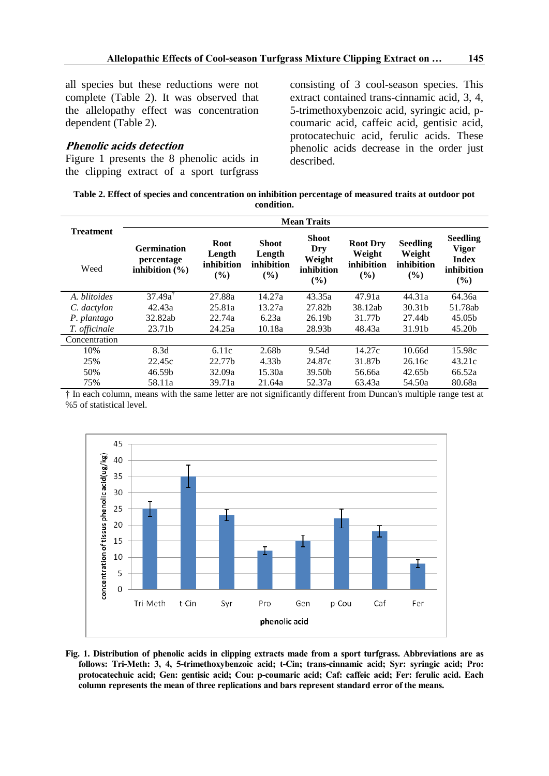all species but these reductions were not complete (Table 2). It was observed that the allelopathy effect was concentration dependent (Table 2).

#### **Phenolic acids detection**

Figure 1 presents the 8 phenolic acids in the clipping extract of a sport turfgrass consisting of 3 cool-season species. This extract contained trans-cinnamic acid, 3, 4, 5-trimethoxybenzoic acid, syringic acid, pcoumaric acid, caffeic acid, gentisic acid, protocatechuic acid, ferulic acids. These phenolic acids decrease in the order just described.

| Table 2. Effect of species and concentration on inhibition percentage of measured traits at outdoor pot |            |  |  |
|---------------------------------------------------------------------------------------------------------|------------|--|--|
|                                                                                                         | condition. |  |  |

|                          | <b>Mean Traits</b>                                     |                                            |                                                |                                                       |                                                |                                                   |                                                                      |  |
|--------------------------|--------------------------------------------------------|--------------------------------------------|------------------------------------------------|-------------------------------------------------------|------------------------------------------------|---------------------------------------------------|----------------------------------------------------------------------|--|
| <b>Treatment</b><br>Weed | <b>Germination</b><br>percentage<br>inhibition $(\% )$ | <b>Root</b><br>Length<br>inhibition<br>(%) | <b>Shoot</b><br>Length<br>inhibition<br>$($ %) | <b>Shoot</b><br>Dry<br>Weight<br>inhibition<br>$(\%)$ | <b>Root Dry</b><br>Weight<br>inhibition<br>(%) | <b>Seedling</b><br>Weight<br>inhibition<br>$($ %) | <b>Seedling</b><br><b>Vigor</b><br><b>Index</b><br>inhibition<br>(%) |  |
| A. blitoides             | $37.49a^T$                                             | 27.88a                                     | 14.27a                                         | 43.35a                                                | 47.91a                                         | 44.31a                                            | 64.36a                                                               |  |
| C. dactylon              | 42.43a                                                 | 25.81a                                     | 13.27a                                         | 27.82b                                                | 38.12ab                                        | 30.31 <sub>b</sub>                                | 51.78ab                                                              |  |
| P. plantago              | 32.82ab                                                | 22.74a                                     | 6.23a                                          | 26.19 <sub>b</sub>                                    | 31.77b                                         | 27.44b                                            | 45.05 <sub>b</sub>                                                   |  |
| T. officinale            | 23.71b                                                 | 24.25a                                     | 10.18a                                         | 28.93b                                                | 48.43a                                         | 31.91b                                            | 45.20b                                                               |  |
| Concentration            |                                                        |                                            |                                                |                                                       |                                                |                                                   |                                                                      |  |
| 10%                      | 8.3d                                                   | 6.11c                                      | 2.68b                                          | 9.54d                                                 | 14.27c                                         | 10.66d                                            | 15.98c                                                               |  |
| 25%                      | 22.45c                                                 | 22.77b                                     | 4.33 <sub>b</sub>                              | 24.87c                                                | 31.87b                                         | 26.16c                                            | 43.21c                                                               |  |
| 50%                      | 46.59b                                                 | 32.09a                                     | 15.30a                                         | 39.50b                                                | 56.66a                                         | 42.65b                                            | 66.52a                                                               |  |
| 75%                      | 58.11a                                                 | 39.71a                                     | 21.64a                                         | 52.37a                                                | 63.43a                                         | 54.50a                                            | 80.68a                                                               |  |

† In each column, means with the same letter are not significantly different from Duncan's multiple range test at %5 of statistical level.



**Fig. 1. Distribution of phenolic acids in clipping extracts made from a sport turfgrass. Abbreviations are as follows: Tri-Meth: 3, 4, 5-trimethoxybenzoic acid; t-Cin; trans-cinnamic acid; Syr: syringic acid; Pro: protocatechuic acid; Gen: gentisic acid; Cou: p-coumaric acid; Caf: caffeic acid; Fer: ferulic acid. Each column represents the mean of three replications and bars represent standard error of the means.**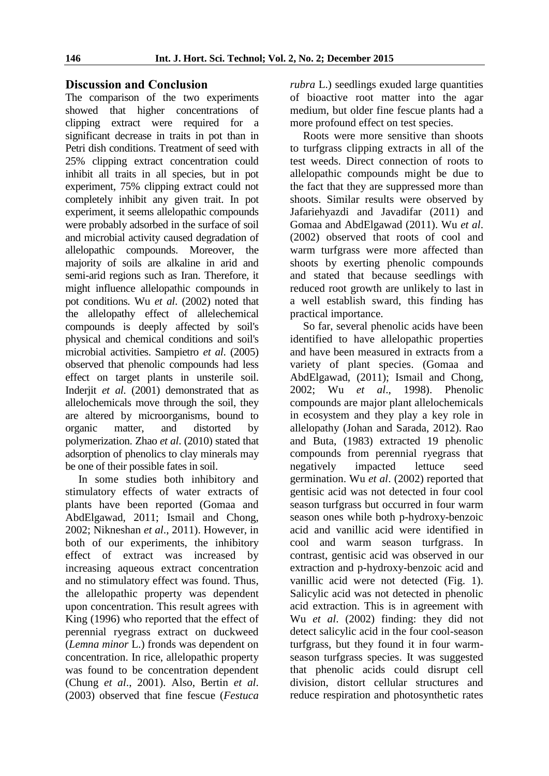### **Discussion and Conclusion**

The comparison of the two experiments showed that higher concentrations of clipping extract were required for a significant decrease in traits in pot than in Petri dish conditions. Treatment of seed with 25% clipping extract concentration could inhibit all traits in all species, but in pot experiment, 75% clipping extract could not completely inhibit any given trait. In pot experiment, it seems allelopathic compounds were probably adsorbed in the surface of soil and microbial activity caused degradation of allelopathic compounds. Moreover, the majority of soils are alkaline in arid and semi-arid regions such as Iran. Therefore, it might influence allelopathic compounds in pot conditions. Wu *et al*. (2002) noted that the allelopathy effect of allelechemical compounds is deeply affected by soil's physical and chemical conditions and soil's microbial activities. Sampietro *et al*. (2005) observed that phenolic compounds had less effect on target plants in unsterile soil. Inderjit *et al*. (2001) demonstrated that as allelochemicals move through the soil, they are altered by microorganisms, bound to organic matter, and distorted by polymerization. Zhao *et al*. (2010) stated that adsorption of phenolics to clay minerals may be one of their possible fates in soil.

In some studies both inhibitory and stimulatory effects of water extracts of plants have been reported (Gomaa and AbdElgawad, 2011; Ismail and Chong, 2002; Nikneshan *et al*., 2011). However, in both of our experiments, the inhibitory effect of extract was increased by increasing aqueous extract concentration and no stimulatory effect was found. Thus, the allelopathic property was dependent upon concentration. This result agrees with King (1996) who reported that the effect of perennial ryegrass extract on duckweed (*Lemna minor* L.) fronds was dependent on concentration. In rice, allelopathic property was found to be concentration dependent (Chung *et al*., 2001). Also, Bertin *et al*. (2003) observed that fine fescue (*Festuca* 

*rubra* L.) seedlings exuded large quantities of bioactive root matter into the agar medium, but older fine fescue plants had a more profound effect on test species.

Roots were more sensitive than shoots to turfgrass clipping extracts in all of the test weeds. Direct connection of roots to allelopathic compounds might be due to the fact that they are suppressed more than shoots. Similar results were observed by Jafariehyazdi and Javadifar (2011) and Gomaa and AbdElgawad (2011). Wu *et al*. (2002) observed that roots of cool and warm turfgrass were more affected than shoots by exerting phenolic compounds and stated that because seedlings with reduced root growth are unlikely to last in a well establish sward, this finding has practical importance.

So far, several phenolic acids have been identified to have allelopathic properties and have been measured in extracts from a variety of plant species. (Gomaa and AbdElgawad, (2011); Ismail and Chong, 2002; Wu *et al*., 1998). Phenolic compounds are major plant allelochemicals in ecosystem and they play a key role in allelopathy (Johan and Sarada, 2012). Rao and Buta, (1983) extracted 19 phenolic compounds from perennial ryegrass that negatively impacted lettuce seed germination. Wu *et al*. (2002) reported that gentisic acid was not detected in four cool season turfgrass but occurred in four warm season ones while both p-hydroxy-benzoic acid and vanillic acid were identified in cool and warm season turfgrass. In contrast, gentisic acid was observed in our extraction and p-hydroxy-benzoic acid and vanillic acid were not detected (Fig. 1). Salicylic acid was not detected in phenolic acid extraction. This is in agreement with Wu *et al*. (2002) finding: they did not detect salicylic acid in the four cool-season turfgrass, but they found it in four warmseason turfgrass species. It was suggested that phenolic acids could disrupt cell division, distort cellular structures and reduce respiration and photosynthetic rates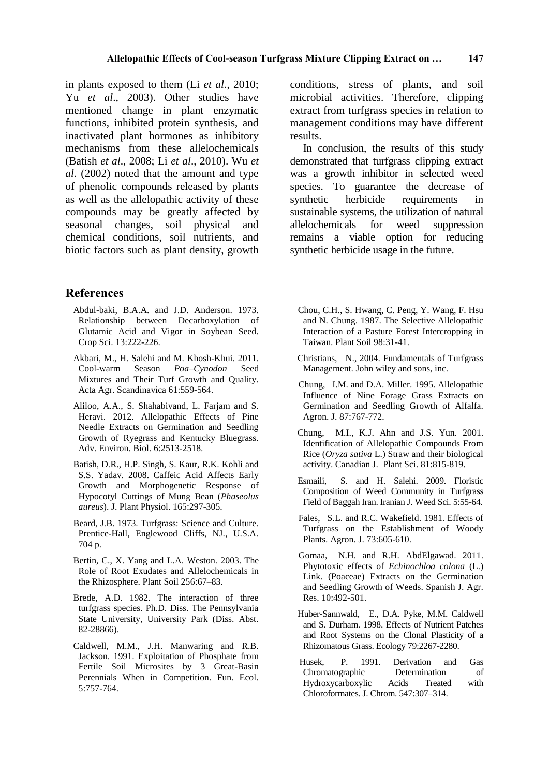in plants exposed to them (Li *et al*., 2010; Yu *et al*., 2003). Other studies have mentioned change in plant enzymatic functions, inhibited protein synthesis, and inactivated plant hormones as inhibitory mechanisms from these allelochemicals (Batish *et al*., 2008; Li *et al*., 2010). Wu *et al*. (2002) noted that the amount and type of phenolic compounds released by plants as well as the allelopathic activity of these compounds may be greatly affected by seasonal changes, soil physical and chemical conditions, soil nutrients, and biotic factors such as plant density, growth

### **References**

- Abdul-baki, B.A.A. and J.D. Anderson. 1973. Relationship between Decarboxylation of Glutamic Acid and Vigor in Soybean Seed. Crop Sci. 13:222-226.
- Akbari, M., H. Salehi and M. Khosh-Khui. 2011. Cool-warm Season *Poa–Cynodon* Seed Mixtures and Their Turf Growth and Quality. Acta Agr. Scandinavica 61:559-564.
- Aliloo, A.A., S. Shahabivand, L. Farjam and S. Heravi. 2012. Allelopathic Effects of Pine Needle Extracts on Germination and Seedling Growth of Ryegrass and Kentucky Bluegrass. Adv. Environ. Biol. 6:2513-2518.
- Batish, D.R., H.P. Singh, S. Kaur, R.K. Kohli and S.S. Yadav. 2008. Caffeic Acid Affects Early Growth and Morphogenetic Response of Hypocotyl Cuttings of Mung Bean (*Phaseolus aureus*). J. Plant Physiol. 165:297-305.
- Beard, J.B. 1973. Turfgrass: Science and Culture. Prentice-Hall, Englewood Cliffs, NJ., U.S.A. 704 p.
- Bertin, C., X. Yang and L.A. Weston. 2003. The Role of Root Exudates and Allelochemicals in the Rhizosphere. Plant Soil 256:67–83.
- Brede, A.D. 1982. The interaction of three turfgrass species. Ph.D. Diss. The Pennsylvania State University, University Park (Diss. Abst. 82-28866).
- Caldwell, M.M., J.H. Manwaring and R.B. Jackson. 1991. Exploitation of Phosphate from Fertile Soil Microsites by 3 Great-Basin Perennials When in Competition. Fun. Ecol. 5:757-764.

conditions, stress of plants, and soil microbial activities. Therefore, clipping extract from turfgrass species in relation to management conditions may have different results.

In conclusion, the results of this study demonstrated that turfgrass clipping extract was a growth inhibitor in selected weed species. To guarantee the decrease of synthetic herbicide requirements in sustainable systems, the utilization of natural allelochemicals for weed suppression remains a viable option for reducing synthetic herbicide usage in the future.

- Chou, C.H., S. Hwang, C. Peng, Y. Wang, F. Hsu and N. Chung. 1987. The Selective Allelopathic Interaction of a Pasture Forest Intercropping in Taiwan. Plant Soil 98:31-41.
- Christians, N., 2004. Fundamentals of Turfgrass Management. John wiley and sons, inc.
- Chung, I.M. and D.A. Miller. 1995. Allelopathic Influence of Nine Forage Grass Extracts on Germination and Seedling Growth of Alfalfa. Agron. J. 87:767-772.
- Chung, M.I., K.J. Ahn and J.S. Yun. 2001. Identification of Allelopathic Compounds From Rice (*Oryza sativa* L.) Straw and their biological activity. Canadian J. Plant Sci. 81:815-819.
- Esmaili, S. and H. Salehi. 2009. Floristic Composition of Weed Community in Turfgrass Field of Baggah Iran. Iranian J. Weed Sci. 5:55-64.
- Fales, S.L. and R.C. Wakefield. 1981. Effects of Turfgrass on the Establishment of Woody Plants. Agron. J. 73:605-610.
- Gomaa, N.H. and R.H. AbdElgawad. 2011. Phytotoxic effects of *Echinochloa colona* (L.) Link. (Poaceae) Extracts on the Germination and Seedling Growth of Weeds. Spanish J. Agr. Res. 10:492-501.
- Huber-Sannwald, E., D.A. Pyke, M.M. Caldwell and S. Durham. 1998. Effects of Nutrient Patches and Root Systems on the Clonal Plasticity of a Rhizomatous Grass. Ecology 79:2267-2280.
- Husek, P. 1991. Derivation and Gas Chromatographic Determination of Hydroxycarboxylic Acids Treated with Chloroformates. J. Chrom. 547:307–314.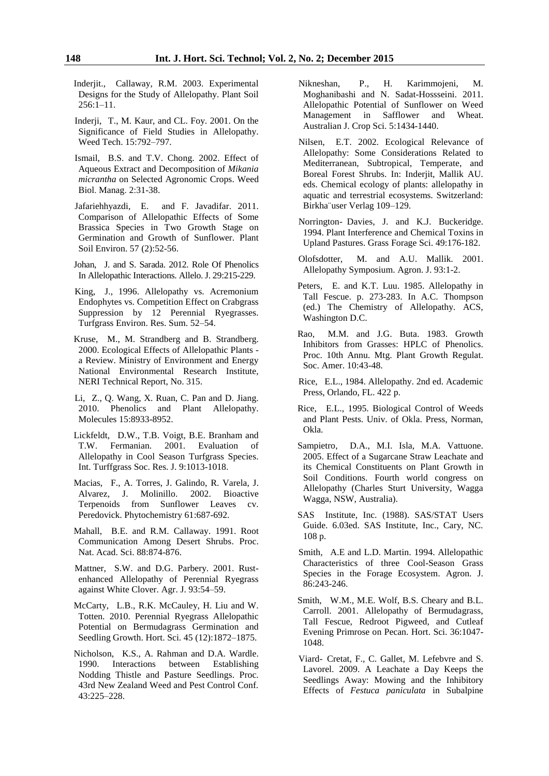- Inderjit., Callaway, R.M. 2003. Experimental Designs for the Study of Allelopathy. Plant Soil 256:1–11.
- Inderji, T., M. Kaur, and CL. Foy. 2001. On the Significance of Field Studies in Allelopathy. Weed Tech. 15:792–797.
- Ismail, B.S. and T.V. Chong. 2002. Effect of Aqueous Extract and Decomposition of *Mikania micrantha* on Selected Agronomic Crops. Weed Biol. Manag. 2:31-38.
- Jafariehhyazdi, E. and F. Javadifar. 2011. Comparison of Allelopathic Effects of Some Brassica Species in Two Growth Stage on Germination and Growth of Sunflower. Plant Soil Environ. 57 (2):52-56.
- Johan, J. and S. Sarada. 2012. Role Of Phenolics In Allelopathic Interactions. Allelo. J. 29:215-229.
- King, J., 1996. Allelopathy vs. Acremonium Endophytes vs. Competition Effect on Crabgrass Suppression by 12 Perennial Ryegrasses. Turfgrass Environ. Res. Sum. 52–54.
- Kruse, M., M. Strandberg and B. Strandberg. 2000. Ecological Effects of Allelopathic Plants a Review. Ministry of Environment and Energy National Environmental Research Institute, NERI Technical Report, No. 315.
- Li, Z., Q. Wang, X. Ruan, C. Pan and D. Jiang. 2010. Phenolics and Plant Allelopathy. Molecules 15:8933-8952.
- Lickfeldt, D.W., T.B. Voigt, B.E. Branham and T.W. Fermanian. 2001. Evaluation of Allelopathy in Cool Season Turfgrass Species. Int. Turffgrass Soc. Res. J. 9:1013-1018.
- Macias, F., A. Torres, J. Galindo, R. Varela, J. Alvarez, J. Molinillo. 2002. Bioactive Terpenoids from Sunflower Leaves cv. Peredovick. Phytochemistry 61:687-692.
- Mahall, B.E. and R.M. Callaway. 1991. Root Communication Among Desert Shrubs. Proc. Nat. Acad. Sci. 88:874-876.
- Mattner, S.W. and D.G. Parbery. 2001. Rustenhanced Allelopathy of Perennial Ryegrass against White Clover. Agr. J. 93:54–59.
- McCarty, L.B., R.K. McCauley, H. Liu and W. Totten. 2010. Perennial Ryegrass Allelopathic Potential on Bermudagrass Germination and Seedling Growth. Hort. Sci. 45 (12):1872–1875.
- Nicholson, K.S., A. Rahman and D.A. Wardle. 1990. Interactions between Establishing Nodding Thistle and Pasture Seedlings. Proc. 43rd New Zealand Weed and Pest Control Conf. 43:225–228.
- Nikneshan, P., H. Karimmojeni, M. Moghanibashi and N. Sadat-Hossseini. 2011. Allelopathic Potential of Sunflower on Weed Management in Safflower and Wheat. Australian J. Crop Sci. 5:1434-1440.
- Nilsen, E.T. 2002. Ecological Relevance of Allelopathy: Some Considerations Related to Mediterranean, Subtropical, Temperate, and Boreal Forest Shrubs. In: Inderjit, Mallik AU. eds. Chemical ecology of plants: allelopathy in aquatic and terrestrial ecosystems. Switzerland: Birkha¨user Verlag 109–129.
- Norrington- Davies, J. and K.J. Buckeridge. 1994. Plant Interference and Chemical Toxins in Upland Pastures. Grass Forage Sci. 49:176-182.
- Olofsdotter, M. and A.U. Mallik. 2001. Allelopathy Symposium. Agron. J. 93:1-2.
- Peters, E. and K.T. Luu. 1985. Allelopathy in Tall Fescue. p. 273-283. In A.C. Thompson (ed.) The Chemistry of Allelopathy. ACS, Washington D.C.
- Rao, M.M. and J.G. Buta. 1983. Growth Inhibitors from Grasses: HPLC of Phenolics. Proc. 10th Annu. Mtg. Plant Growth Regulat. Soc. Amer. 10:43-48.
- Rice, E.L., 1984. Allelopathy. 2nd ed. Academic Press, Orlando, FL. 422 p.
- Rice, E.L., 1995. Biological Control of Weeds and Plant Pests. Univ. of Okla. Press, Norman, Okla.
- Sampietro, D.A., M.I. Isla, M.A. Vattuone. 2005. Effect of a Sugarcane Straw Leachate and its Chemical Constituents on Plant Growth in Soil Conditions. Fourth world congress on Allelopathy (Charles Sturt University, Wagga Wagga, NSW, Australia).
- SAS Institute, Inc. (1988). SAS/STAT Users Guide. 6.03ed. SAS Institute, Inc., Cary, NC. 108 p.
- Smith, A.E and L.D. Martin. 1994. Allelopathic Characteristics of three Cool-Season Grass Species in the Forage Ecosystem. Agron. J. 86:243-246.
- Smith, W.M., M.E. Wolf, B.S. Cheary and B.L. Carroll. 2001. Allelopathy of Bermudagrass, Tall Fescue, Redroot Pigweed, and Cutleaf Evening Primrose on Pecan. Hort. Sci. 36:1047- 1048.
- Viard- Cretat, F., C. Gallet, M. Lefebvre and S. Lavorel. 2009. A Leachate a Day Keeps the Seedlings Away: Mowing and the Inhibitory Effects of *Festuca paniculata* in Subalpine